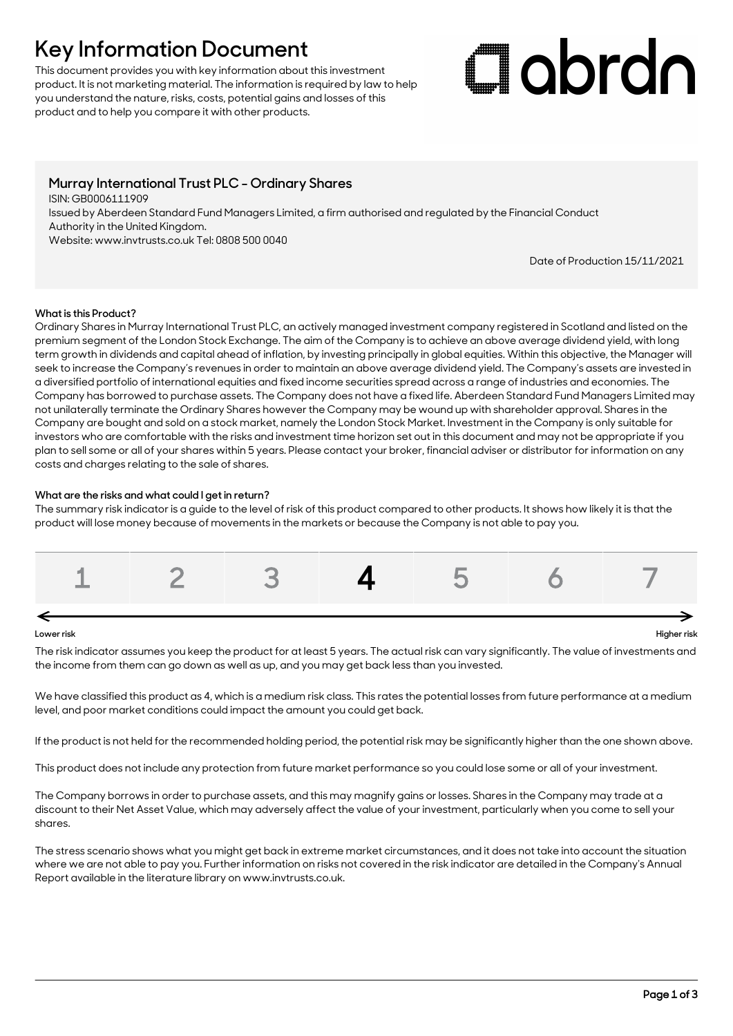## **Key Information Document**

This document provides you with key information about this investment product. It is not marketing material. The information is required by law to help you understand the nature, risks, costs, potential gains and losses of this product and to help you compare it with other products.

# Clobrdo

### **Murray International Trust PLC - Ordinary Shares**

ISIN: GB0006111909 Issued by Aberdeen Standard Fund Managers Limited, a firm authorised and regulated by the Financial Conduct Authority in the United Kingdom.

Website: www.invtrusts.co.uk Tel: 0808 500 0040

Date of Production 15/11/2021

#### **What is this Product?**

Ordinary Shares in Murray International Trust PLC, an actively managed investment company registered in Scotland and listed on the premium segment of the London Stock Exchange. The aim of the Company is to achieve an above average dividend yield, with long term growth in dividends and capital ahead of inflation, by investing principally in global equities. Within this objective, the Manager will seek to increase the Company's revenues in order to maintain an above average dividend yield. The Company's assets are invested in a diversified portfolio of international equities and fixed income securities spread across a range of industries and economies. The Company has borrowed to purchase assets. The Company does not have a fixed life. Aberdeen Standard Fund Managers Limited may not unilaterally terminate the Ordinary Shares however the Company may be wound up with shareholder approval. Shares in the Company are bought and sold on a stock market, namely the London Stock Market. Investment in the Company is only suitable for investors who are comfortable with the risks and investment time horizon set out in this document and may not be appropriate if you plan to sell some or all of your shares within 5 years. Please contact your broker, financial adviser or distributor for information on any costs and charges relating to the sale of shares.

#### **What are the risks and what could I get in return?**

The summary risk indicator is a guide to the level of risk of this product compared to other products. It shows how likely it is that the product will lose money because of movements in the markets or because the Company is not able to pay you.



#### **Lower risk Higher risk**

The risk indicator assumes you keep the product for at least 5 years. The actual risk can vary significantly. The value of investments and the income from them can go down as well as up, and you may get back less than you invested.

We have classified this product as 4, which is a medium risk class. This rates the potential losses from future performance at a medium level, and poor market conditions could impact the amount you could get back.

If the product is not held for the recommended holding period, the potential risk may be significantly higher than the one shown above.

This product does not include any protection from future market performance so you could lose some or all of your investment.

The Company borrows in order to purchase assets, and this may magnify gains or losses. Shares in the Company may trade at a discount to their Net Asset Value, which may adversely affect the value of your investment, particularly when you come to sell your shares.

The stress scenario shows what you might get back in extreme market circumstances, and it does not take into account the situation where we are not able to pay you. Further information on risks not covered in the risk indicator are detailed in the Company's Annual Report available in the literature library on www.invtrusts.co.uk.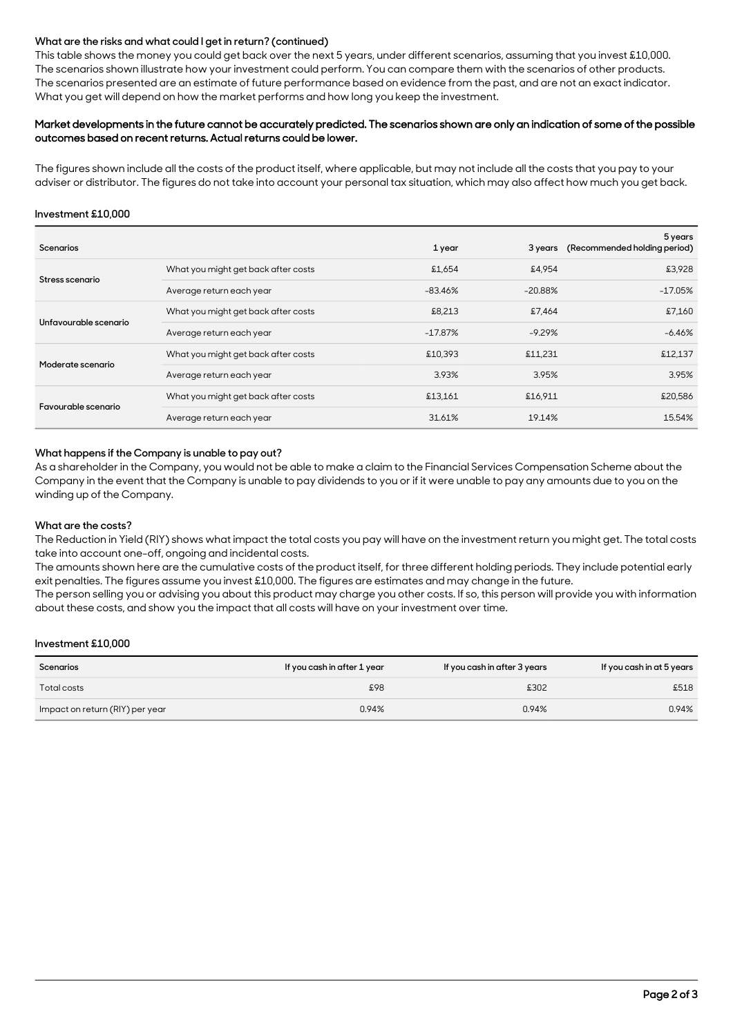#### **What are the risks and what could I get in return? (continued)**

This table shows the money you could get back over the next 5 years, under different scenarios, assuming that you invest £10,000. The scenarios shown illustrate how your investment could perform. You can compare them with the scenarios of other products. The scenarios presented are an estimate of future performance based on evidence from the past, and are not an exact indicator. What you get will depend on how the market performs and how long you keep the investment.

#### Market developments in the future cannot be accurately predicted. The scenarios shown are only an indication of some of the possible outcomes based on recent returns. Actual returns could be lower.

The figures shown include all the costs of the product itself, where applicable, but may not include all the costs that you pay to your adviser or distributor. The figures do not take into account your personal tax situation, which may also affect how much you get back.

#### **Investment £10,000**

| <b>Scenarios</b>      |                                     | 1 year     | 3 years   | 5 years<br>(Recommended holding period) |
|-----------------------|-------------------------------------|------------|-----------|-----------------------------------------|
| Stress scenario       | What you might get back after costs | £1,654     | £4.954    | £3,928                                  |
|                       | Average return each year            | $-83.46%$  | $-20.88%$ | $-17.05%$                               |
| Unfavourable scenario | What you might get back after costs | £8,213     | \$7.464   | £7,160                                  |
|                       | Average return each year            | $-17.87\%$ | $-9.29%$  | $-6.46%$                                |
| Moderate scenario     | What you might get back after costs | £10,393    | £11,231   | £12,137                                 |
|                       | Average return each year            | 3.93%      | 3.95%     | 3.95%                                   |
| Favourable scenario   | What you might get back after costs | £13,161    | £16,911   | £20,586                                 |
|                       | Average return each year            | 31.61%     | 19.14%    | 15.54%                                  |

#### **What happens if the Company is unable to pay out?**

As a shareholder in the Company, you would not be able to make a claim to the Financial Services Compensation Scheme about the Company in the event that the Company is unable to pay dividends to you or if it were unable to pay any amounts due to you on the winding up of the Company.

#### **What are the costs?**

The Reduction in Yield (RIY) shows what impact the total costs you pay will have on the investment return you might get. The total costs take into account one-off, ongoing and incidental costs.

The amounts shown here are the cumulative costs of the product itself, for three different holding periods. They include potential early exit penalties. The figures assume you invest £10,000. The figures are estimates and may change in the future.

The person selling you or advising you about this product may charge you other costs. If so, this person will provide you with information about these costs, and show you the impact that all costs will have on your investment over time.

#### **Investment £10,000**

| Scenarios                       | If you cash in after 1 year | If you cash in after 3 years | If you cash in at 5 years |
|---------------------------------|-----------------------------|------------------------------|---------------------------|
| Total costs                     | £98                         | £302                         | £518                      |
| Impact on return (RIY) per year | 0.94%                       | 0.94%                        | 0.94%                     |